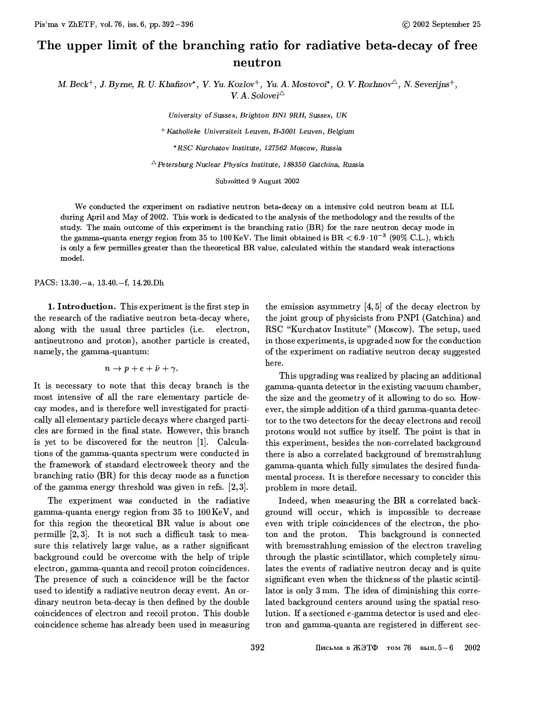## The upper limit of the branching ratio for radiative beta-decay of free neutron

M. Beck<sup>+</sup>, J. Byrne, R. U. Khafizov<sup>\*</sup>, V. Yu. Kozlov<sup>+</sup>, Yu. A. Mostovoi<sup>\*</sup>, O. V. Rozhnov<sup> $\triangle$ </sup>, N. Severijns<sup>+</sup>, V. A. Solovei $\triangle$ 

University of Sussex, Brighton BN1 9RH, Sussex, UK

+ Katholieke Universiteit Leuven, B-3001 Leuven, Belgium

\*RSC Kurchatov Institute, 127562 Moscow, Russia

 $\triangle$ Petersburg Nuclear Physics Institute, 188350 Gatchina, Russia

Submitted 9 August 2002

We conducted the experiment on radiative neutron beta-decay on a intensive cold neutron beam at ILL during April and May of 2002. This work is dedicated to the analysis of the methodology and the results of the study. The main outcome of this experiment is the branching ratio (BR) for the rare neutron decay mode in the gamma-quanta energy region from 35 to 100 KeV. The limit obtained is BR  $< 6.9 \cdot 10^{-3}$  (90% C.L.), which is only a few permilles greater than the theoretical BR value, calculated within the standard weak interactions model.

PACS:  $13.30 - a$ ,  $13.40 - f$ ,  $14.20 \text{ D}h$ 

**1. Introduction.** This experiment is the first step in the research of the radiative neutron beta-decay where, along with the usual three particles (i.e. electron, antineutrono and proton), another particle is created, namely, the gamma-quantum:

$$
n \to p + e + \bar{\nu} + \gamma.
$$

It is necessary to note that this decay branch is the most intensive of all the rare elementary particle decay modes, and is therefore well investigated for practically all elementary particle decays where charged particles are formed in the final state. However, this branch is yet to be discovered for the neutron [1]. Calculations of the gamma-quanta spectrum were conducted in the framework of standard electroweek theory and the branching ratio (BR) for this decay mode as a function of the gamma energy threshold was given in refs.  $[2,3]$ .

The experiment was conducted in the radiative gamma-quanta energy region from 35 to 100KeV, and for this region the theoretical BR value is about one permille  $[2,3]$ . It is not such a difficult task to measure this relatively large value, as a rather significant background could be overcome with the help of triple electron, gamma-quanta and recoil proton coincidences. The presence of such a coincidence will be the factor used to identify a radiative neutron decay event. An ordinary neutron beta-decay is then defined by the double coincidences of electron and recoil proton. This double coincidence scheme has already been used in measuring the emission asymmetry  $[4,5]$  of the decay electron by the joint group of physicists from PNPI (Gatchina) and RSC "Kurchatov Institute" (Moscow). The setup, used in those experiments, is upgraded now for the conduction of the experiment on radiative neutron decay suggested here.

This upgrading was realized by placing an additional gamma-quanta detector in the existing vacuum chamber, the size and the geometry of it allowing to do so. However, the simple addition of a third gamma-quanta detector to the two detectors for the decay electrons and recoil protons would not suffice by itself. The point is that in this experiment, besides the non-correlated background there is also a correlated background of bremstrahlung gamma-quanta which fully simulates the desired fundamental process. It is therefore necessary to concider this problem in more detail.

Indeed, when measuring the BR a correlated background will occur, which is impossible to decrease even with triple coincidences of the electron, the photon and the proton. This background is connected with bremsstrahlung emission of the electron traveling through the plastic scintillator, which completely simulates the events of radiative neutron decay and is quite significant even when the thickness of the plastic scintillator is only 3 mm. The idea of diminishing this correlated background centers around using the spatial resolution. If a sectioned e-gamma detector is used and electron and gamma-quanta are registered in different sec-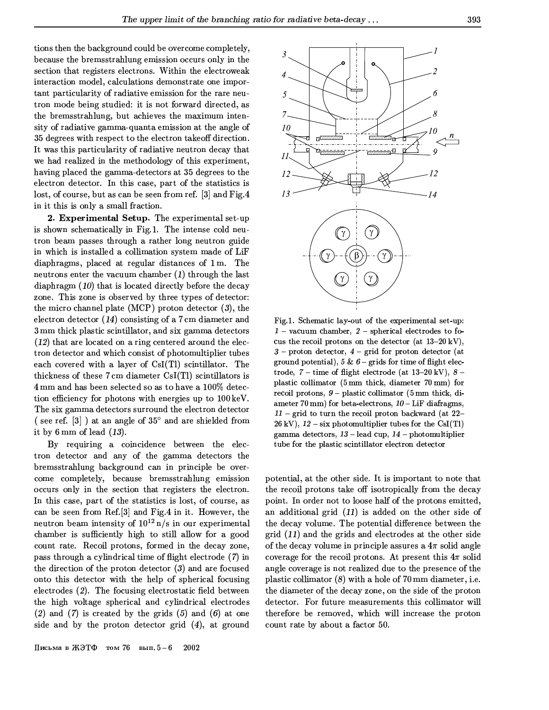tions then the background could be overcome completely, because the bremsstrahlung emission occurs only in the section that registers electrons. Within the electroweak interaction model, calculations demonstrate one important particularity of radiative emission for the rare neutron mode being studied: it is not forward directed, as the bremsstrahlung, but achieves the maximum intensity of radiative gamma-quanta emission at the angle of 35 degrees with respect to the electron takeoff direction. It was this particularity of radiative neutron decay that we had realized in the methodology of this experiment, having placed the gamma-detectors at 35 degrees to the electron detector. In this case, part of the statistics is lost, of course, but as can be seen from ref. [3] and Fig.4 in it this is only a small fraction.

2. Experimental Setup. The experimental set-up is shown schematically in Fig.1. The intense cold neutron beam passes through a rather long neutron guide in which is installed a collimation system made of LiF diaphragms, placed at regular distances of 1m. The neutrons enter the vacuum chamber  $(1)$  through the last diaphragm  $(10)$  that is located directly before the decay zone. This zone is observed by three types of detector: the micro channel plate (MCP) proton detector  $(3)$ , the electron detector  $(14)$  consisting of a 7 cm diameter and 3 mm thick plastic scintillator, and six gamma detectors  $(12)$  that are located on a ring centered around the electron detector and which consist of photomultiplier tubes each covered with a layer of CsI(Tl) scintillator. The thickness of these 7cm diameter CsI(Tl) scintillators is 4mm and has been selected so as to have a 100% detection efficiency for photons with energies up to 100 keV. The six gamma detectors surround the electron detector (see ref.  $[3]$ ) at an angle of  $35^{\circ}$  and are shielded from it by 6 mm of lead  $(13)$ .

By requiring a coincidence between the electron detector and any of the gamma detectors the bremsstrahlung background can in principle be overcome completely, because bremsstrahlung emission occurs only in the section that registers the electron. In this case, part of the statistics is lost, of course, as can be seen from Ref.[3] and Fig.4 in it. However, the neutron beam intensity of  $10^{12}$  n/s in our experimental chamber is sufficiently high to still allow for a good count rate. Recoil protons, formed in the decay zone, pass through a cylindrical time of flight electrode (7) in the direction of the proton detector  $(3)$  and are focused onto this detector with the help of spherical focusing electrodes (2). The focusing electrostatic field between the high voltage spherical and cylindrical electrodes (2) and (7) is created by the grids  $(5)$  and  $(6)$  at one side and by the proton detector grid  $(4)$ , at ground



Fig.1. Schematic lay-out of the experimental set-up:  $1$  – vacuum chamber,  $2$  – spherical electrodes to focus the recoil protons on the detector (at  $13-20 \text{ kV}$ ),  $3$  – proton detector,  $4$  – grid for proton detector (at ground potential), 5 &  $6$  – grids for time of flight electrode,  $7$  – time of flight electrode (at  $13-20$  kV),  $8$  – plastic collimator (5 mm thick, diameter 70 mm) for recoil protons,  $9$  – plastic collimator (5 mm thick, diameter 70 mm) for beta-electrons,  $10 - \text{LiF}$  diafragms,  $11$  – grid to turn the recoil proton backward (at 22–  $26 \text{ kV}$ ),  $12 - \text{six photomultiplier tubes}$  for the CsI(Tl) gamma detectors, 13 - lead cup, 14 - photomultiplier tube for the plastic scintillator electron detector

potential, at the other side. It is important to note that the recoil protons take off isotropically from the decay point. In order not to loose half of the protons emitted, an additional grid  $(11)$  is added on the other side of the decay volume. The potential difference between the  $grid(11)$  and the grids and electrodes at the other side of the decay volume in principle assures a  $4\pi$  solid angle coverage for the recoil protons. At present this  $4\pi$  solid angle coverage is not realized due to the presence of the plastic collimator  $(8)$  with a hole of 70 mm diameter, i.e. the diameter of the decay zone, on the side of the proton detector. For future measurements this collimator will therefore be removed, which will increase the proton count rate by about a factor 50.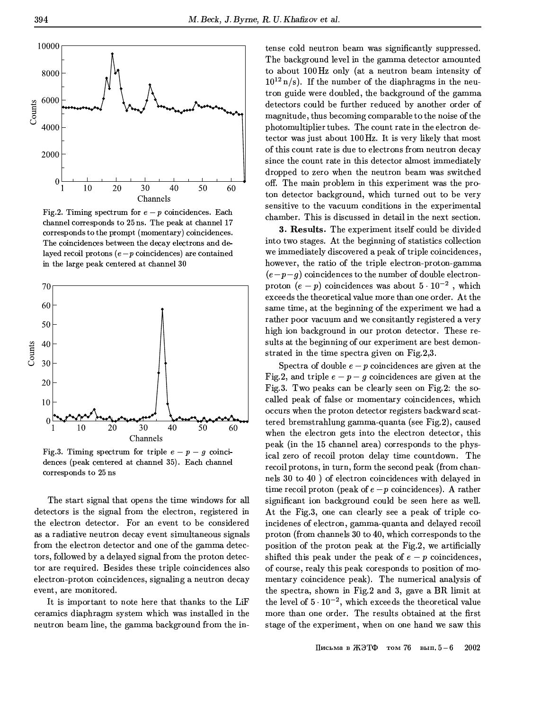

Fig.2. Timing spectrum for  $e - p$  coincidences. Each channel corresponds to 25 ns. The peak at channel 17 corresponds to the prompt (momentary) coincidences. The coincidences between the decay electrons and delayed recoil protons  $(e-p \text{ coincidences})$  are contained in the large peak centered at channel 30



Fig.3. Timing spectrum for triple  $e - p - q$  coincidences (peak centered at channel 35). Each channel corresponds to 25 ns

The start signal that opens the time windows for all detectors is the signal from the electron, registered in the electron detector. For an event to be considered as a radiative neutron decay event simultaneous signals from the electron detector and one of the gamma detectors, followed by a delayed signal from the proton detector are required. Besides these triple coincidences also electron-proton coincidences, signaling a neutron decay event, are monitored.

It is important to note here that thanks to the LiF ceramics diaphragm system which was installed in the neutron beam line, the gamma background from the intense cold neutron beam was significantly suppressed. The background level in the gamma detector amounted to about 100 Hz only (at a neutron beam intensity of  $10^{12}$  n/s). If the number of the diaphragms in the neutron guide were doubled, the background of the gamma detectors could be further reduced by another order of magnitude, thus becoming comparable to the noise of the photomultiplier tubes. The count rate in the electron detector was just about 100 Hz. It is very likely that most of this count rate is due to electrons from neutron decay since the count rate in this detector almost immediately dropped to zero when the neutron beam was switched off. The main problem in this experiment was the proton detector background, which turned out to be very sensitive to the vacuum conditions in the experimental chamber. This is discussed in detail in the next section.

3. Results. The experiment itself could be divided into two stages. At the beginning of statistics collection we immediately discovered a peak of triple coincidences, however, the ratio of the triple electron-proton-gamma  $(e-p-q)$  coincidences to the number of double electronproton  $(e - p)$  coincidences was about  $5 \cdot 10^{-2}$ , which exceeds the theoretical value more than one order. At the same time, at the beginning of the experiment we had a rather poor vacuum and we consitantly registered a very high ion background in our proton detector. These results at the beginning of our experiment are best demonstrated in the time spectra given on Fig.2,3.

Spectra of double  $e - p$  coincidences are given at the Fig.2, and triple  $e - p - q$  coincidences are given at the Fig.3. Two peaks can be clearly seen on Fig.2: the socalled peak of false or momentary coincidences, which occurs when the proton detector registers backward scattered bremstrahlung gamma-quanta (see Fig.2), caused when the electron gets into the electron detector, this peak (in the 15 channel area) corresponds to the physical zero of recoil proton delay time countdown. The recoil protons, in turn, form the second peak (from channels 30 to 40) of electron coincidences with delayed in time recoil proton (peak of  $e-p$  coincidences). A rather significant ion background could be seen here as well. At the Fig.3, one can clearly see a peak of triple coincidenes of electron, gamma-quanta and delayed recoil proton (from channels 30 to 40, which corresponds to the position of the proton peak at the Fig.2, we artificially shifted this peak under the peak of  $e - p$  coincidences, of course, realy this peak coresponds to position of momentary coincidence peak). The numerical analysis of the spectra, shown in Fig.2 and 3, gave a BR limit at the level of  $5 \cdot 10^{-2}$ , which exceeds the theoretical value more than one order. The results obtained at the first stage of the experiment, when on one hand we saw this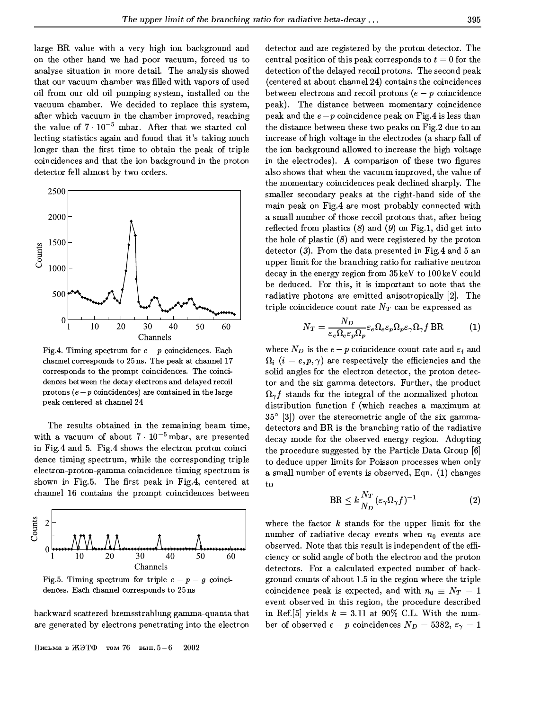large BR value with a very high ion background and on the other hand we had poor vacuum, forced us to analyse situation in more detail. The analysis showed that our vacuum chamber was filled with vapors of used oil from our old oil pumping system, installed on the vacuum chamber. We decided to replace this system, after which vacuum in the chamber improved, reaching the value of  $7 \cdot 10^{-5}$  mbar. After that we started collecting statistics again and found that it's taking much longer than the first time to obtain the peak of triple coincidences and that the ion background in the proton detector fell almost by two orders.



Fig.4. Timing spectrum for  $e - p$  coincidences. Each channel corresponds to 25 ns. The peak at channel 17 corresponds to the prompt coincidences. The coincidences between the decay electrons and delayed recoil protons  $(e-p \text{ coincidences})$  are contained in the large peak centered at channel 24

The results obtained in the remaining beam time, with a vacuum of about  $7 \cdot 10^{-5}$  mbar, are presented in Fig.4 and 5. Fig.4 shows the electron-proton coincidence timing spectrum, while the corresponding triple electron-proton-gamma coincidence timing spectrum is shown in Fig.5. The first peak in Fig.4, centered at channel 16 contains the prompt coincidences between



Fig.5. Timing spectrum for triple  $e - p - g$  coincidences. Each channel corresponds to 25 ns

backward scattered bremsstrahlung gamma-quanta that are generated by electrons penetrating into the electron

Письма в ЖЭТФ том 76 вып.  $5-6$ 2002

detector and are registered by the proton detector. The central position of this peak corresponds to  $t=0$  for the detection of the delayed recoil protons. The second peak (centered at about channel 24) contains the coincidences between electrons and recoil protons  $(e - p \text{ coincide} n e)$ peak). The distance between momentary coincidence peak and the  $e-p$  coincidence peak on Fig.4 is less than the distance between these two peaks on Fig.2 due to an increase of high voltage in the electrodes (a sharp fall of the ion background allowed to increase the high voltage in the electrodes). A comparison of these two figures also shows that when the vacuum improved, the value of the momentary coincidences peak declined sharply. The smaller secondary peaks at the right-hand side of the main peak on Fig.4 are most probably connected with a small number of those recoil protons that, after being reflected from plastics  $(8)$  and  $(9)$  on Fig.1, did get into the hole of plastic  $(8)$  and were registered by the proton detector  $(3)$ . From the data presented in Fig.4 and 5 an upper limit for the branching ratio for radiative neutron decay in the energy region from 35 keV to 100 keV could be deduced. For this, it is important to note that the radiative photons are emitted anisotropically [2]. The triple coincidence count rate  $N_T$  can be expressed as

$$
N_T = \frac{N_D}{\varepsilon_e \Omega_e \varepsilon_p \Omega_p} \varepsilon_e \Omega_e \varepsilon_p \Omega_p \varepsilon_\gamma \Omega_\gamma f BR \tag{1}
$$

where  $N_D$  is the  $e-p$  coincidence count rate and  $\varepsilon_i$  and  $\Omega_i$  (i = e, p,  $\gamma$ ) are respectively the efficiencies and the solid angles for the electron detector, the proton detector and the six gamma detectors. Further, the product  $\Omega_{\gamma} f$  stands for the integral of the normalized photondistribution function f (which reaches a maximum at  $35^{\circ}$  [3]) over the stereometric angle of the six gammadetectors and BR is the branching ratio of the radiative decay mode for the observed energy region. Adopting the procedure suggested by the Particle Data Group [6] to deduce upper limits for Poisson processes when only a small number of events is observed, Eqn. (1) changes to

$$
\text{BR} \leq k \frac{N_T}{N_D} (\varepsilon_\gamma \Omega_\gamma f)^{-1} \tag{2}
$$

where the factor  $k$  stands for the upper limit for the number of radiative decay events when  $n_0$  events are observed. Note that this result is independent of the efficiency or solid angle of both the electron and the proton detectors. For a calculated expected number of background counts of about 1.5 in the region where the triple coincidence peak is expected, and with  $n_0 \equiv N_T = 1$ event observed in this region, the procedure described in Ref. [5] yields  $k = 3.11$  at 90% C.L. With the number of observed  $e - p$  coincidences  $N_D = 5382, \epsilon_\gamma = 1$